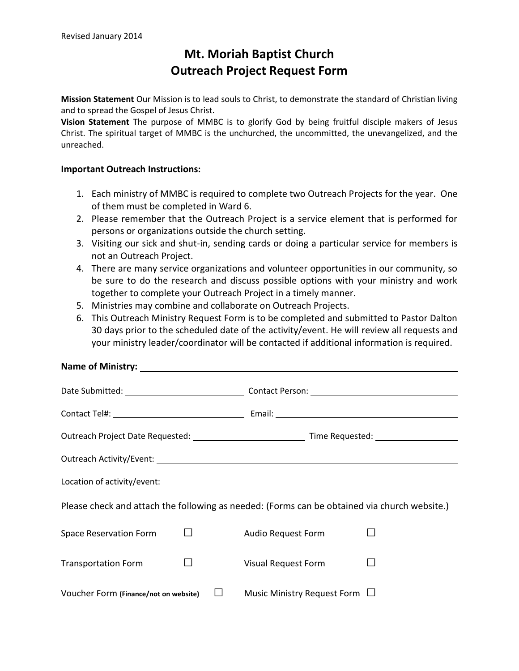## **Mt. Moriah Baptist Church Outreach Project Request Form**

**Mission Statement** Our Mission is to lead souls to Christ, to demonstrate the standard of Christian living and to spread the Gospel of Jesus Christ.

**Vision Statement** The purpose of MMBC is to glorify God by being fruitful disciple makers of Jesus Christ. The spiritual target of MMBC is the unchurched, the uncommitted, the unevangelized, and the unreached.

## **Important Outreach Instructions:**

- 1. Each ministry of MMBC is required to complete two Outreach Projects for the year. One of them must be completed in Ward 6.
- 2. Please remember that the Outreach Project is a service element that is performed for persons or organizations outside the church setting.
- 3. Visiting our sick and shut-in, sending cards or doing a particular service for members is not an Outreach Project.
- 4. There are many service organizations and volunteer opportunities in our community, so be sure to do the research and discuss possible options with your ministry and work together to complete your Outreach Project in a timely manner.
- 5. Ministries may combine and collaborate on Outreach Projects.
- 6. This Outreach Ministry Request Form is to be completed and submitted to Pastor Dalton 30 days prior to the scheduled date of the activity/event. He will review all requests and your ministry leader/coordinator will be contacted if additional information is required.

## **Name of Ministry:**

| Please check and attach the following as needed: (Forms can be obtained via church website.) |  |                                    |  |
|----------------------------------------------------------------------------------------------|--|------------------------------------|--|
| <b>Space Reservation Form</b><br>$\perp$                                                     |  | Audio Request Form                 |  |
| <b>Transportation Form</b>                                                                   |  | Visual Request Form                |  |
| Voucher Form (Finance/not on website)                                                        |  | Music Ministry Request Form $\Box$ |  |